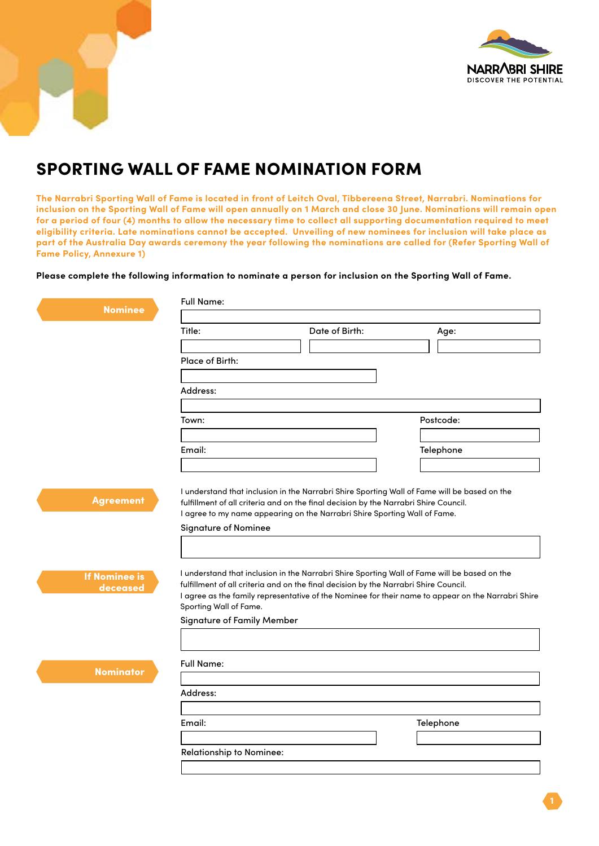

## SPORTING WALL OF FAME NOMINATION FORM

**The Narrabri Sporting Wall of Fame is located in front of Leitch Oval, Tibbereena Street, Narrabri. Nominations for inclusion on the Sporting Wall of Fame will open annually on 1 March and close 30 June. Nominations will remain open for a period of four (4) months to allow the necessary time to collect all supporting documentation required to meet eligibility criteria. Late nominations cannot be accepted. Unveiling of new nominees for inclusion will take place as part of the Australia Day awards ceremony the year following the nominations are called for (Refer Sporting Wall of Fame Policy, Annexure 1)** 

**Please complete the following information to nominate a person for inclusion on the Sporting Wall of Fame.**

| Date of Birth:<br>Title:<br>Age:<br>Place of Birth:<br>Address:<br>Postcode:<br>Town:<br>Email:<br>Telephone<br>I understand that inclusion in the Narrabri Shire Sporting Wall of Fame will be based on the<br><b>Agreement</b><br>fulfillment of all criteria and on the final decision by the Narrabri Shire Council.<br>I agree to my name appearing on the Narrabri Shire Sporting Wall of Fame.<br><b>Signature of Nominee</b><br>I understand that inclusion in the Narrabri Shire Sporting Wall of Fame will be based on the<br><b>If Nominee is</b><br>fulfillment of all criteria and on the final decision by the Narrabri Shire Council.<br>deceased<br>Sporting Wall of Fame.<br><b>Signature of Family Member</b><br><b>Full Name:</b><br><b>Nominator</b><br>Address:<br>Email: | <b>Nominee</b> | <b>Full Name:</b>                                                                                  |  |           |  |
|------------------------------------------------------------------------------------------------------------------------------------------------------------------------------------------------------------------------------------------------------------------------------------------------------------------------------------------------------------------------------------------------------------------------------------------------------------------------------------------------------------------------------------------------------------------------------------------------------------------------------------------------------------------------------------------------------------------------------------------------------------------------------------------------|----------------|----------------------------------------------------------------------------------------------------|--|-----------|--|
|                                                                                                                                                                                                                                                                                                                                                                                                                                                                                                                                                                                                                                                                                                                                                                                                |                |                                                                                                    |  |           |  |
|                                                                                                                                                                                                                                                                                                                                                                                                                                                                                                                                                                                                                                                                                                                                                                                                |                |                                                                                                    |  |           |  |
|                                                                                                                                                                                                                                                                                                                                                                                                                                                                                                                                                                                                                                                                                                                                                                                                |                |                                                                                                    |  |           |  |
|                                                                                                                                                                                                                                                                                                                                                                                                                                                                                                                                                                                                                                                                                                                                                                                                |                |                                                                                                    |  |           |  |
|                                                                                                                                                                                                                                                                                                                                                                                                                                                                                                                                                                                                                                                                                                                                                                                                |                |                                                                                                    |  |           |  |
|                                                                                                                                                                                                                                                                                                                                                                                                                                                                                                                                                                                                                                                                                                                                                                                                |                |                                                                                                    |  |           |  |
|                                                                                                                                                                                                                                                                                                                                                                                                                                                                                                                                                                                                                                                                                                                                                                                                |                |                                                                                                    |  |           |  |
|                                                                                                                                                                                                                                                                                                                                                                                                                                                                                                                                                                                                                                                                                                                                                                                                |                | I agree as the family representative of the Nominee for their name to appear on the Narrabri Shire |  |           |  |
|                                                                                                                                                                                                                                                                                                                                                                                                                                                                                                                                                                                                                                                                                                                                                                                                |                |                                                                                                    |  |           |  |
|                                                                                                                                                                                                                                                                                                                                                                                                                                                                                                                                                                                                                                                                                                                                                                                                |                |                                                                                                    |  |           |  |
|                                                                                                                                                                                                                                                                                                                                                                                                                                                                                                                                                                                                                                                                                                                                                                                                |                |                                                                                                    |  | Telephone |  |
| <b>Relationship to Nominee:</b>                                                                                                                                                                                                                                                                                                                                                                                                                                                                                                                                                                                                                                                                                                                                                                |                |                                                                                                    |  |           |  |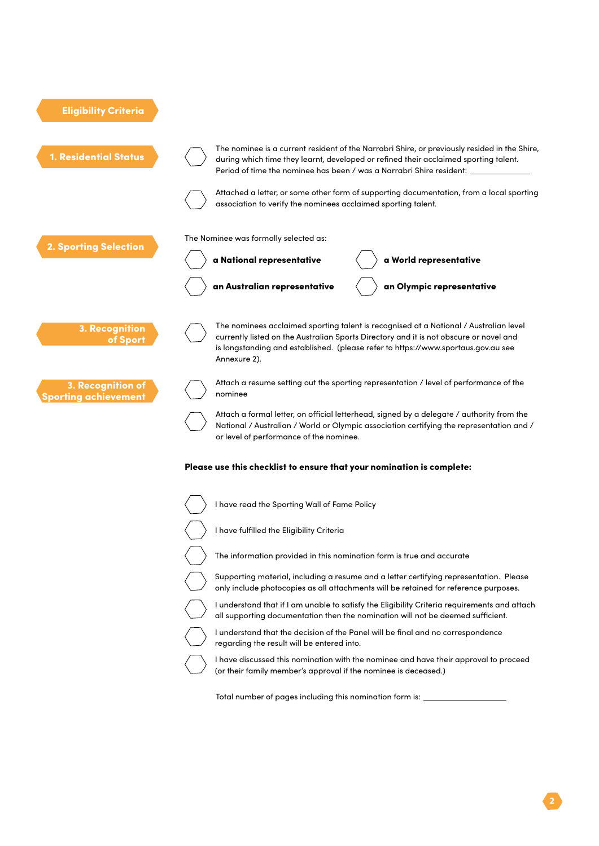

(or their family member's approval if the nominee is deceased.)

Total number of pages including this nomination form is: